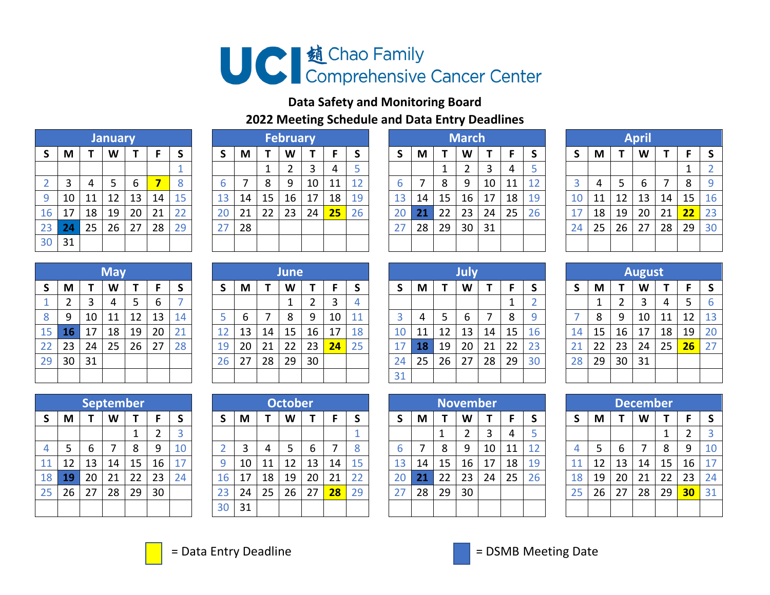## UC | Nao Family<br>Comprehensive Cancer Center

## **Data Safety and Monitoring Board Meeting Schedule and Data Entry Deadlines**

|                |    |    | <b>January</b> |    |    |              |
|----------------|----|----|----------------|----|----|--------------|
| $\mathsf{s}$   | M  | Τ  | W              | Τ  | F  | S            |
|                |    |    |                |    |    | $\mathbf{1}$ |
| $\overline{2}$ | 3  | 4  | 5              | 6  | 7  | 8            |
| 9              | 10 | 11 | 12             | 13 | 14 | 15           |
| 16             | 17 | 18 | 19             | 20 | 21 | 22           |
| 23             | 24 | 25 | 26             | 27 | 28 | 29           |
| 30             | 31 |    |                |    |    |              |

|      |    |    | <b>January</b> |    |    |    |    |                 |    | <b>February</b> |    |    |    |    |    |    | <b>March</b> |                 |    |    |    |    |    | <b>April</b> |    |                 |    |
|------|----|----|----------------|----|----|----|----|-----------------|----|-----------------|----|----|----|----|----|----|--------------|-----------------|----|----|----|----|----|--------------|----|-----------------|----|
| S.   | M  |    | W              |    |    |    |    | M               |    | W               |    | Е  | S  |    | M  |    | W            |                 |    |    |    | M  |    | W            |    |                 |    |
|      |    |    |                |    |    |    |    |                 |    |                 | 3  | 4  |    |    |    |    |              |                 | 4  |    |    |    |    |              |    |                 |    |
|      | 3  | 4  |                | 6  |    | 8  |    |                 | 8  | 9               | 10 | 11 | 12 |    |    | 8  | 9            | 10              | 11 |    |    | 4  |    | b            |    | 8               | -9 |
| 9    | 10 | 11 | 12             | 13 | 14 | 15 | 13 | 14 <sub>1</sub> | 15 | 16              | 17 | 18 | 19 | 13 | 14 | 15 | 16           | 17 <sup>1</sup> | 18 | 19 | 10 |    | 12 | 13           | 14 | 15              | 16 |
| 16   | 17 | 18 | 19             | 20 | 21 | 22 | 20 | 21              | 22 | 23              | 24 | 25 | 26 | 20 | 21 | 22 | 23           | 24              | 25 | 26 | 17 | 18 | 19 | 20           | 21 | 22              | 23 |
| 23 I | 24 | 25 | 26             | 27 | 28 | 29 | 27 | 28              |    |                 |    |    |    | 27 | 28 | 29 | 30           | 31              |    |    | 24 | 25 | 26 | 127          | 28 | 29 <sub>1</sub> | 30 |
| 30   | 31 |    |                |    |    |    |    |                 |    |                 |    |    |    |    |    |    |              |                 |    |    |    |    |    |              |    |                 |    |

|    |    |    | <b>March</b>   |    |    |    |
|----|----|----|----------------|----|----|----|
| S  | M  | т  | W              | т  | F  | S  |
|    |    | 1  | $\overline{2}$ | 3  | 4  | 5  |
| 6  | 7  | 8  | 9              | 10 | 11 | 12 |
| 13 | 14 | 15 | 16             | 17 | 18 | 19 |
| 20 | 21 | 22 | 23             | 24 | 25 | 26 |
| 27 | 28 | 29 | 30             | 31 |    |    |
|    |    |    |                |    |    |    |

|    |    |    | <b>April</b> |    |    |                |
|----|----|----|--------------|----|----|----------------|
| S  | M  | т  | W            | т  | F  | S              |
|    |    |    |              |    | 1  | $\overline{2}$ |
| 3  | 4  | 5  | 6            | 7  | 8  | 9              |
| 10 | 11 | 12 | 13           | 14 | 15 | 16             |
| 17 | 18 | 19 | 20           | 21 | 22 | 23             |
| 24 | 25 | 26 | 27           | 28 | 29 | 30             |
|    |    |    |              |    |    |                |

|           |    |    | <b>May</b> |    |    |    |
|-----------|----|----|------------|----|----|----|
| ${\sf S}$ | M  | т  | W          | т  | F  | S  |
| 1         | 2  | 3  | 4          | 5  | 6  |    |
| 8         | 9  | 10 | 11         | 12 | 13 | 14 |
| 15        | 16 | 17 | 18         | 19 | 20 | 21 |
| 22        | 23 | 24 | 25         | 26 | 27 | 28 |
| 29        | 30 | 31 |            |    |    |    |
|           |    |    |            |    |    |    |

|    |    |    | <b>June</b> |                |    |    |
|----|----|----|-------------|----------------|----|----|
| S  | M  | т  | W           | т              | F  | S  |
|    |    |    | 1           | $\overline{2}$ | 3  | 4  |
| 5  | 6  | 7  | 8           | 9              | 10 | 11 |
| 12 | 13 | 14 | 15          | 16             | 17 | 18 |
| 19 | 20 | 21 | 22          | 23             | 24 | 25 |
| 26 | 27 | 28 | 29          | 30             |    |    |
|    |    |    |             |                |    |    |

|                 |    |    | <b>May</b> |    |    |    |    |    |    | <b>June</b> |    |    |    |    |    |    |    |    |    |    |    |    |    | <b>August</b> |    |    |    |
|-----------------|----|----|------------|----|----|----|----|----|----|-------------|----|----|----|----|----|----|----|----|----|----|----|----|----|---------------|----|----|----|
| S.              | M  |    | W          |    |    | S  |    | M  |    | W           |    | F  | S  |    | M  |    | W  |    |    |    | S  | M  |    | W             |    |    |    |
|                 |    |    |            | -5 | 6  |    |    |    |    |             |    | 3  | 4  |    |    |    |    |    |    |    |    |    |    |               | 4  |    | -6 |
| 8               | 9  | 10 | 11         | 12 | 13 | 14 |    | 6  |    | 8           | 9  | 10 | 11 |    |    |    | 6  |    | 8  |    |    | 8  | 9  | 10            | 11 | 12 | 13 |
| 15 <sub>1</sub> | 16 | 17 | 18         | 19 | 20 | 21 |    | 13 | 14 | 15          | 16 | 17 | 18 | 10 | 11 | 12 | 13 | 14 | 15 | 16 | 14 | 15 | 16 | 17            | 18 | 19 | 20 |
| 22              | 23 | 24 | 25         | 26 | 27 | 28 | 19 | 20 | 21 | 22          | 23 | 24 | 25 | 17 | 18 | 19 | 20 | 21 | 22 | 23 | 21 | 22 | 23 | 24            | 25 | 26 | 27 |
| 29              | 30 | 31 |            |    |    |    | 26 | 27 | 28 | 29          | 30 |    |    | 24 | 25 | 26 | 27 | 28 | 29 | 30 | 28 | 29 | 30 | 31            |    |    |    |
|                 |    |    |            |    |    |    |    |    |    |             |    |    |    | 31 |    |    |    |    |    |    |    |    |    |               |    |    |    |

|    |    |    | <b>August</b> |    |    |    |
|----|----|----|---------------|----|----|----|
| S  | M  | T  | W             | т  | F  | S  |
|    | 1  | 2  | 3             | 4  | 5  | 6  |
| 7  | 8  | 9  | 10            | 11 | 12 | 13 |
| 14 | 15 | 16 | 17            | 18 | 19 | 20 |
| 21 | 22 | 23 | 24            | 25 | 26 | 27 |
| 28 | 29 | 30 | 31            |    |    |    |
|    |    |    |               |    |    |    |

|    |    |    | <b>September</b> |    |                |    |
|----|----|----|------------------|----|----------------|----|
| S  | M  | т  | W                | т  | F              | S  |
|    |    |    |                  | 1  | $\overline{2}$ | 3  |
| 4  | 5  | 6  | 7                | 8  | 9              | 10 |
| 11 | 12 | 13 | 14               | 15 | 16             | 17 |
| 18 | 19 | 20 | 21               | 22 | 23             | 24 |
| 25 | 26 | 27 | 28               | 29 | 30             |    |
|    |    |    |                  |    |                |    |

|    |    |    |    | <b>September</b> |    |    |    |    |    | <b>October</b> |    |    |    |    |    |    | <b>November</b> |                 |    |    |    |    |    | <b>December</b> |    |                 |    |
|----|----|----|----|------------------|----|----|----|----|----|----------------|----|----|----|----|----|----|-----------------|-----------------|----|----|----|----|----|-----------------|----|-----------------|----|
| S. | M  |    | W  |                  |    |    |    | M  |    | W              |    | F  |    |    | М  |    | W               |                 |    |    |    | M  |    | W               |    |                 |    |
|    |    |    |    |                  |    |    |    |    |    |                |    |    |    |    |    |    |                 |                 | 4  |    |    |    |    |                 |    |                 |    |
| 4  | כ  | 6  |    | 8                |    | 10 |    |    | 4  | ь              | 6  |    |    |    |    | 8  | 9               | 10              | 11 |    |    |    | 6  |                 | 8  | 9               | 10 |
| 11 | 12 | 13 | 14 | 15               | 16 |    |    | 10 | 11 | 12             | 13 | 14 | 15 | 13 | 14 | 15 | 16              | 17              | 18 | 19 |    |    | 13 | 14              | 15 | 16 <sup>1</sup> | 17 |
| 18 | 19 | 20 | 21 | 22               | 23 | 24 | 16 |    | 18 | 19             | 20 | 21 | 22 | 20 | 21 | 22 | 23              | 24 <sup>1</sup> | 25 | 26 | 18 | 19 | 20 | 21              | 22 | 23 <sup>1</sup> | 24 |
| 25 | 26 | 27 | 28 | 29               | 30 |    | 23 | 24 | 25 | 26             | 27 | 28 | 29 | 27 | 28 | 29 | 30              |                 |    |    | 25 | 26 | 27 | 28              | 29 | 30              | 31 |
|    |    |    |    |                  |    |    | 30 | 31 |    |                |    |    |    |    |    |    |                 |                 |    |    |    |    |    |                 |    |                 |    |

|    |    |    | <b>November</b> |    |    |    |
|----|----|----|-----------------|----|----|----|
| S  | M  | т  | W               | т  | F  | S  |
|    |    | 1  | $\overline{2}$  | 3  | 4  | 5  |
| 6  | 7  | 8  | 9               | 10 | 11 | 12 |
| 13 | 14 | 15 | 16              | 17 | 18 | 19 |
| 20 | 21 | 22 | 23              | 24 | 25 | 26 |
| 27 | 28 | 29 | 30              |    |    |    |
|    |    |    |                 |    |    |    |

|    |    |    | <b>December</b> |    |                |    |
|----|----|----|-----------------|----|----------------|----|
| S  | M  | т  | W               | Т  | F              | S  |
|    |    |    |                 | 1  | $\overline{2}$ | 3  |
| 4  | 5  | 6  | 7               | 8  | 9              | 10 |
| 11 | 12 | 13 | 14              | 15 | 16             | 17 |
| 18 | 19 | 20 | 21              | 22 | 23             | 24 |
| 25 | 26 | 27 | 28              | 29 | 30             | 31 |
|    |    |    |                 |    |                |    |